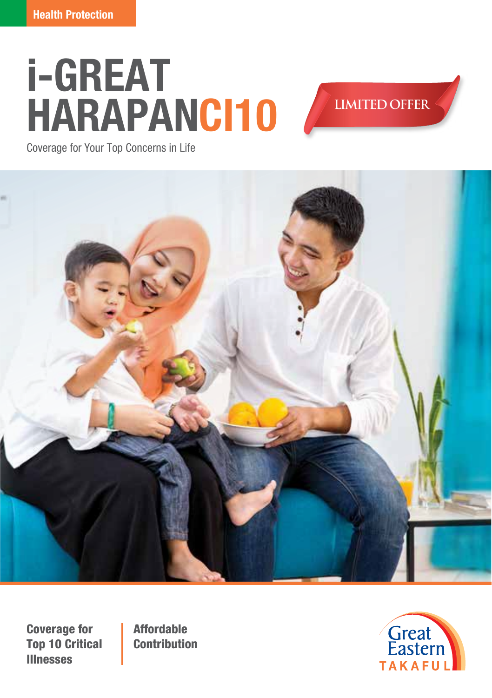# **i-GREAT HARAPANCI10**

**LIMITED OFFER**

Coverage for Your Top Concerns in Life



Coverage for Top 10 Critical Illnesses

Affordable **Contribution** 

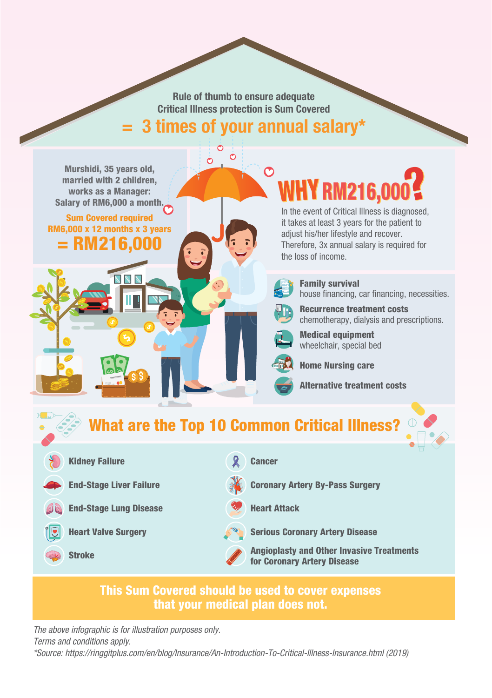**Rule of thumb to ensure adequate Critical Illness protection is Sum Covered = 3 times of your annual salary\***

 $\mathcal{O}$ 

Murshidi, 35 years old, married with 2 children, works as a Manager: Salary of RM6,000 a month.

Sum Covered required RM6,000 x 12 months x 3 years **RM216,00** 

V V

# RM216,00

In the event of Critical Illness is diagnosed, it takes at least 3 years for the patient to adjust his/her lifestyle and recover. Therefore, 3x annual salary is required for the loss of income.



Family survival house financing, car financing, necessities.

Recurrence treatment costs chemotherapy, dialysis and prescriptions.



Medical equipment wheelchair, special bed



Home Nursing care

Alternative treatment costs



### This Sum Covered should be used to cover expenses that your medical plan does not.

*The above infographic is for illustration purposes only. Terms and conditions apply.*

*\*Source: https://ringgitplus.com/en/blog/Insurance/An-Introduction-To-Critical-Illness-Insurance.html (2019)*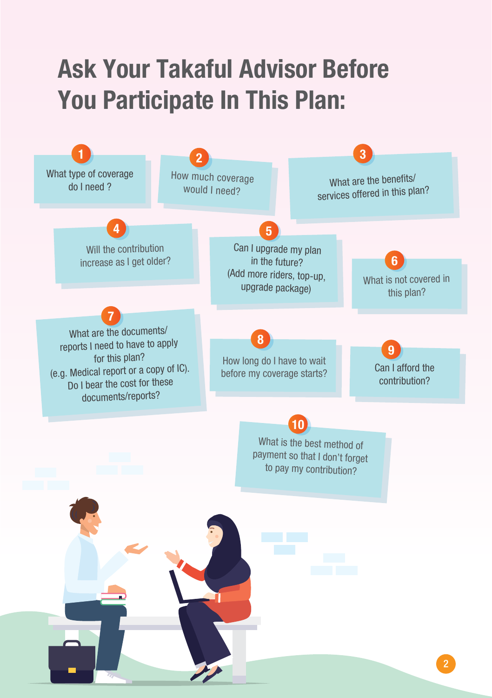## **Ask Your Takaful Advisor Before You Participate In This Plan:**

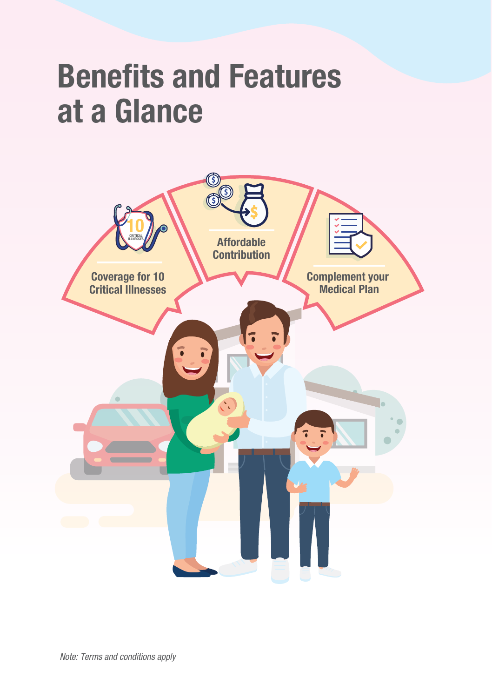## **Benefits and Features at a Glance**

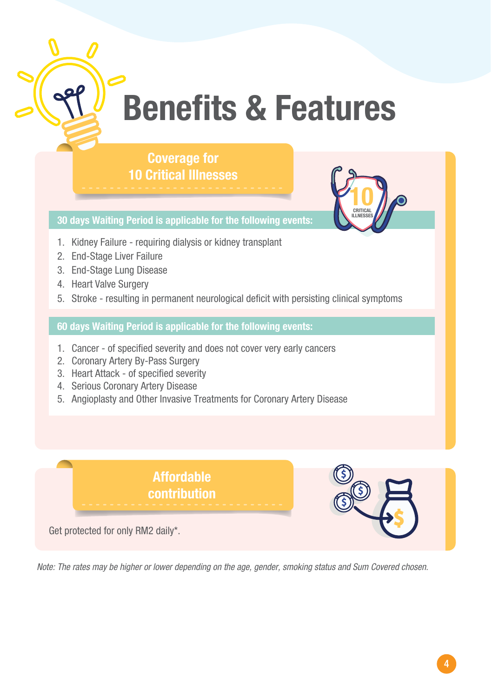

# **Benefits & Features**

### **Coverage for 10 Critical Illnesses**



**30 days Waiting Period is applicable for the following events:**

- 1. Kidney Failure requiring dialysis or kidney transplant
- 2. End-Stage Liver Failure
- 3. End-Stage Lung Disease
- 4. Heart Valve Surgery
- 5. Stroke resulting in permanent neurological deficit with persisting clinical symptoms

**60 days Waiting Period is applicable for the following events:**

- 1. Cancer of specified severity and does not cover very early cancers
- 2. Coronary Artery By-Pass Surgery
- 3. Heart Attack of specified severity
- 4. Serious Coronary Artery Disease
- 5. Angioplasty and Other Invasive Treatments for Coronary Artery Disease

**Affordable contribution**

Get protected for only RM2 daily\*.

*Note: The rates may be higher or lower depending on the age, gender, smoking status and Sum Covered chosen.*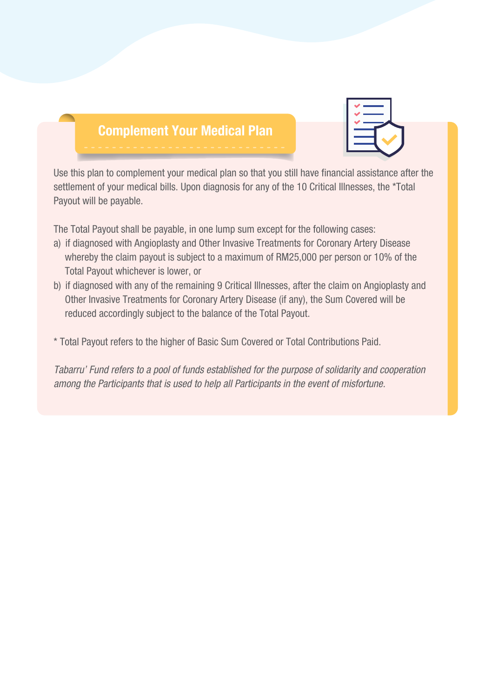## **Complement Your Medical Plan**



Use this plan to complement your medical plan so that you still have financial assistance after the settlement of your medical bills. Upon diagnosis for any of the 10 Critical Illnesses, the \*Total Payout will be payable.

The Total Payout shall be payable, in one lump sum except for the following cases:

- a) if diagnosed with Angioplasty and Other Invasive Treatments for Coronary Artery Disease whereby the claim payout is subject to a maximum of RM25,000 per person or 10% of the Total Payout whichever is lower, or
- b) if diagnosed with any of the remaining 9 Critical Illnesses, after the claim on Angioplasty and Other Invasive Treatments for Coronary Artery Disease (if any), the Sum Covered will be reduced accordingly subject to the balance of the Total Payout.
- \* Total Payout refers to the higher of Basic Sum Covered or Total Contributions Paid.

*Tabarru' Fund refers to a pool of funds established for the purpose of solidarity and cooperation among the Participants that is used to help all Participants in the event of misfortune.*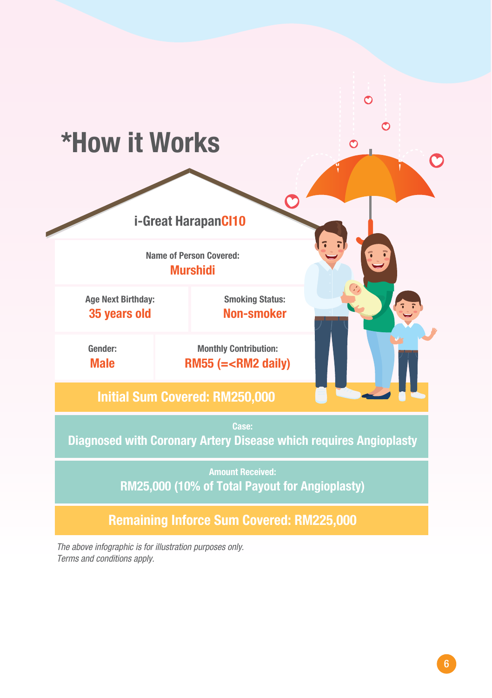

*The above infographic is for illustration purposes only. Terms and conditions apply.*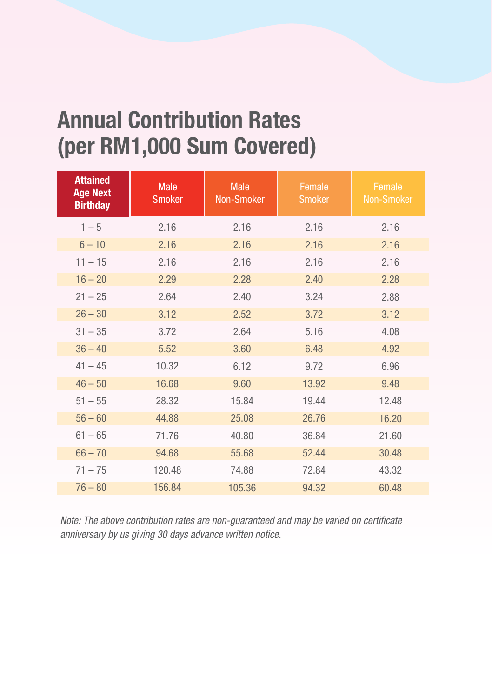## **Annual Contribution Rates (per RM1,000 Sum Covered)**

| <b>Attained</b><br><b>Age Next</b><br><b>Birthday</b> | <b>Male</b><br><b>Smoker</b> | <b>Male</b><br>Non-Smoker | Female<br><b>Smoker</b> | Female<br>Non-Smoker |
|-------------------------------------------------------|------------------------------|---------------------------|-------------------------|----------------------|
| $1 - 5$                                               | 2.16                         | 2.16                      | 2.16                    | 2.16                 |
| $6 - 10$                                              | 2.16                         | 2.16                      | 2.16                    | 2.16                 |
| $11 - 15$                                             | 2.16                         | 2.16                      | 2.16                    | 2.16                 |
| $16 - 20$                                             | 2.29                         | 2.28                      | 2.40                    | 2.28                 |
| $21 - 25$                                             | 2.64                         | 2.40                      | 3.24                    | 2.88                 |
| $26 - 30$                                             | 3.12                         | 2.52                      | 3.72                    | 3.12                 |
| $31 - 35$                                             | 3.72                         | 2.64                      | 5.16                    | 4.08                 |
| $36 - 40$                                             | 5.52                         | 3.60                      | 6.48                    | 4.92                 |
| $41 - 45$                                             | 10.32                        | 6.12                      | 9.72                    | 6.96                 |
| $46 - 50$                                             | 16.68                        | 9.60                      | 13.92                   | 9.48                 |
| $51 - 55$                                             | 28.32                        | 15.84                     | 19.44                   | 12.48                |
| $56 - 60$                                             | 44.88                        | 25.08                     | 26.76                   | 16.20                |
| $61 - 65$                                             | 71.76                        | 40.80                     | 36.84                   | 21.60                |
| $66 - 70$                                             | 94.68                        | 55.68                     | 52.44                   | 30.48                |
| $71 - 75$                                             | 120.48                       | 74.88                     | 72.84                   | 43.32                |
| $76 - 80$                                             | 156.84                       | 105.36                    | 94.32                   | 60.48                |

*Note: The above contribution rates are non-guaranteed and may be varied on certificate anniversary by us giving 30 days advance written notice.*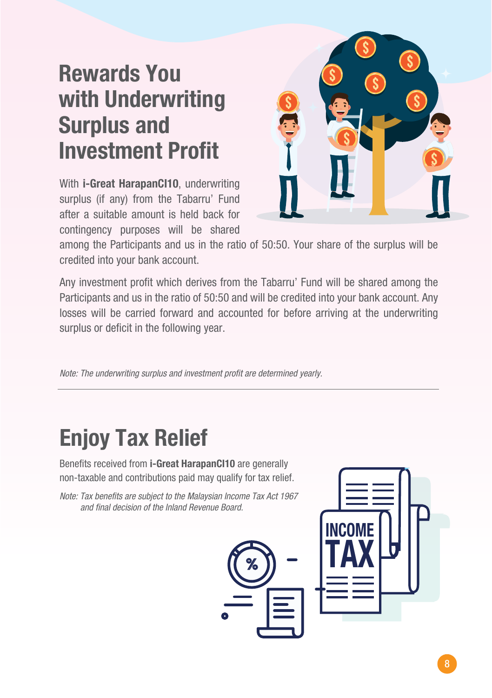## **Rewards You with Underwriting Surplus and Investment Profit**

With **i-Great HarapanCI10**, underwriting surplus (if any) from the Tabarru' Fund after a suitable amount is held back for contingency purposes will be shared



among the Participants and us in the ratio of 50:50. Your share of the surplus will be credited into your bank account.

Any investment profit which derives from the Tabarru' Fund will be shared among the Participants and us in the ratio of 50:50 and will be credited into your bank account. Any losses will be carried forward and accounted for before arriving at the underwriting surplus or deficit in the following year.

*Note: The underwriting surplus and investment profit are determined yearly.*

## **Enjoy Tax Relief**

Benefits received from **i-Great HarapanCI10** are generally non-taxable and contributions paid may qualify for tax relief.

*Note: Tax benefits are subject to the Malaysian Income Tax Act 1967 and final decision of the Inland Revenue Board.*



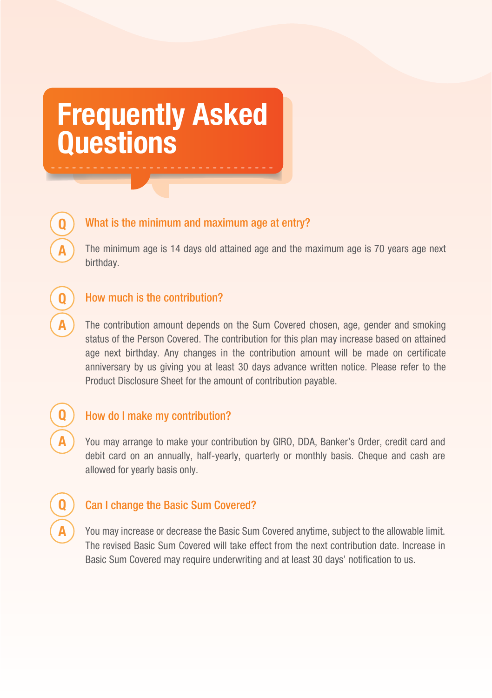## **Frequently Asked Questions**



**Q**

**A**

**Q**

**A**

**Q**

**A**

### What is the minimum and maximum age at entry?

The minimum age is 14 days old attained age and the maximum age is 70 years age next birthday.

### How much is the contribution?

The contribution amount depends on the Sum Covered chosen, age, gender and smoking status of the Person Covered. The contribution for this plan may increase based on attained age next birthday. Any changes in the contribution amount will be made on certificate anniversary by us giving you at least 30 days advance written notice. Please refer to the Product Disclosure Sheet for the amount of contribution payable.

### How do I make my contribution?

You may arrange to make your contribution by GIRO, DDA, Banker's Order, credit card and debit card on an annually, half-yearly, quarterly or monthly basis. Cheque and cash are allowed for yearly basis only.

### Can I change the Basic Sum Covered?

You may increase or decrease the Basic Sum Covered anytime, subject to the allowable limit. The revised Basic Sum Covered will take effect from the next contribution date. Increase in Basic Sum Covered may require underwriting and at least 30 days' notification to us.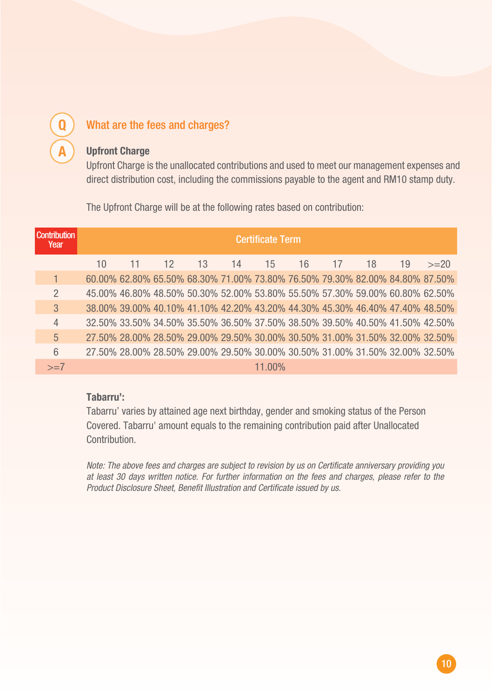## What are the fees and charges?

**Q**

**A**

### **Upfront Charge**

Upfront Charge is the unallocated contributions and used to meet our management expenses and direct distribution cost, including the commissions payable to the agent and RM10 stamp duty.

The Upfront Charge will be at the following rates based on contribution:

| Contribution<br>Year | <b>Certificate Term</b> |  |    |    |    |        |                                                                              |    |    |    |        |
|----------------------|-------------------------|--|----|----|----|--------|------------------------------------------------------------------------------|----|----|----|--------|
|                      | $10^{-}$                |  | 12 | 13 | 14 | 15     | 16                                                                           | 17 | 18 | 19 | $>=20$ |
|                      |                         |  |    |    |    |        | 60.00% 62.80% 65.50% 68.30% 71.00% 73.80% 76.50% 79.30% 82.00% 84.80% 87.50% |    |    |    |        |
| $\mathcal{P}$        |                         |  |    |    |    |        | 45.00% 46.80% 48.50% 50.30% 52.00% 53.80% 55.50% 57.30% 59.00% 60.80% 62.50% |    |    |    |        |
| $\mathcal{S}$        |                         |  |    |    |    |        | 38.00% 39.00% 40.10% 41.10% 42.20% 43.20% 44.30% 45.30% 46.40% 47.40% 48.50% |    |    |    |        |
| $\overline{4}$       |                         |  |    |    |    |        | 32.50% 33.50% 34.50% 35.50% 36.50% 37.50% 38.50% 39.50% 40.50% 41.50% 42.50% |    |    |    |        |
| $\overline{5}$       |                         |  |    |    |    |        | 27.50% 28.00% 28.50% 29.00% 29.50% 30.00% 30.50% 31.00% 31.50% 32.00% 32.50% |    |    |    |        |
| $6\overline{6}$      |                         |  |    |    |    |        | 27.50% 28.00% 28.50% 29.00% 29.50% 30.00% 30.50% 31.00% 31.50% 32.00% 32.50% |    |    |    |        |
| $>=7$                |                         |  |    |    |    | 11.00% |                                                                              |    |    |    |        |

### **Tabarru':**

Tabarru' varies by attained age next birthday, gender and smoking status of the Person Covered. Tabarru' amount equals to the remaining contribution paid after Unallocated **Contribution** 

*Note: The above fees and charges are subject to revision by us on Certificate anniversary providing you at least 30 days written notice. For further information on the fees and charges, please refer to the Product Disclosure Sheet, Benefit Illustration and Certificate issued by us.*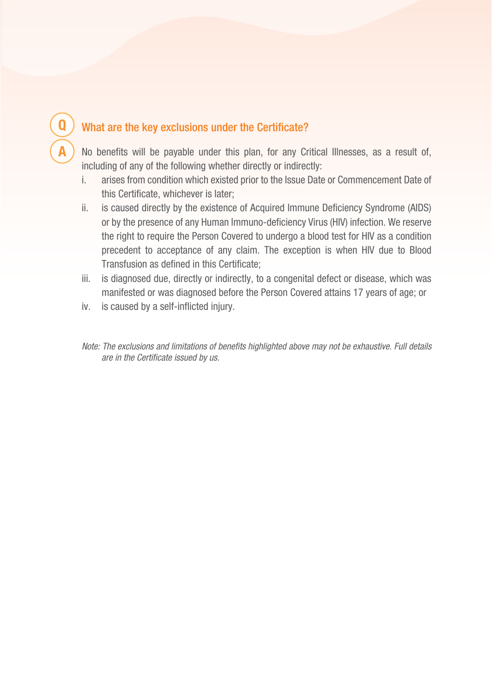### What are the key exclusions under the Certificate?

No benefits will be payable under this plan, for any Critical Illnesses, as a result of, including of any of the following whether directly or indirectly:

- i. arises from condition which existed prior to the Issue Date or Commencement Date of this Certificate, whichever is later;
- ii. is caused directly by the existence of Acquired Immune Deficiency Syndrome (AIDS) or by the presence of any Human Immuno-deficiency Virus (HIV) infection. We reserve the right to require the Person Covered to undergo a blood test for HIV as a condition precedent to acceptance of any claim. The exception is when HIV due to Blood Transfusion as defined in this Certificate;
- iii. is diagnosed due, directly or indirectly, to a congenital defect or disease, which was manifested or was diagnosed before the Person Covered attains 17 years of age; or
- iv. is caused by a self-inflicted injury.

**Q**

**A**

*Note: The exclusions and limitations of benefits highlighted above may not be exhaustive. Full details are in the Certificate issued by us.*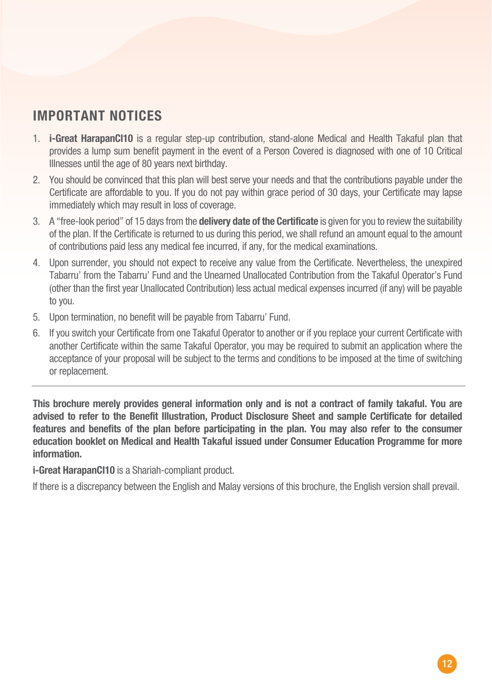### **IMPORTANT NOTICES**

- 1. **i-Great HarapanCI10** is a regular step-up contribution, stand-alone Medical and Health Takaful plan that provides a lump sum benefit payment in the event of a Person Covered is diagnosed with one of 10 Critical Illnesses until the age of 80 years next birthday.
- 2. You should be convinced that this plan will best serve your needs and that the contributions payable under the Certificate are affordable to you. If you do not pay within grace period of 30 days, your Certificate may lapse immediately which may result in loss of coverage.
- 3. A "free-look period" of 15 days from the **delivery date of the Certificate** is given for you to review the suitability of the plan. If the Certificate is returned to us during this period, we shall refund an amount equal to the amount of contributions paid less any medical fee incurred, if any, for the medical examinations.
- 4. Upon surrender, you should not expect to receive any value from the Certificate. Nevertheless, the unexpired Tabarru' from the Tabarru' Fund and the Unearned Unallocated Contribution from the Takaful Operator's Fund (other than the first year Unallocated Contribution) less actual medical expenses incurred (if any) will be payable to you.
- 5. Upon termination, no benefit will be payable from Tabarru' Fund.
- 6. If you switch your Certificate from one Takaful Operator to another or if you replace your current Certificate with another Certificate within the same Takaful Operator, you may be required to submit an application where the acceptance of your proposal will be subject to the terms and conditions to be imposed at the time of switching or replacement.

**This brochure merely provides general information only and is not a contract of family takaful. You are advised to refer to the Benefit Illustration, Product Disclosure Sheet and sample Certificate for detailed features and benefits of the plan before participating in the plan. You may also refer to the consumer education booklet on Medical and Health Takaful issued under Consumer Education Programme for more information.**

**i-Great HarapanCI10** is a Shariah-compliant product.

If there is a discrepancy between the English and Malay versions of this brochure, the English version shall prevail.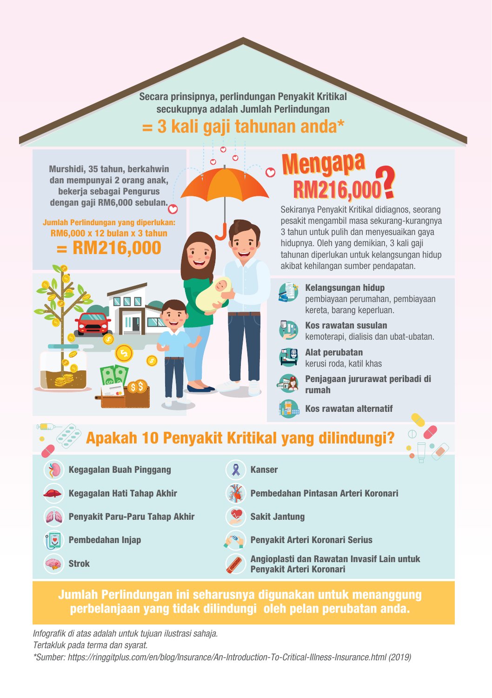**Secara prinsipnya, perlindungan Penyakit Kritikal secukupnya adalah Jumlah Perlindungan = 3 kali gaji tahunan anda\***

 $\sigma$ 

Murshidi, 35 tahun, berkahwin dan mempunyai 2 orang anak, bekerja sebagai Pengurus dengan gaji RM6,000 sebulan.

Jumlah Perlindungan yang diperlukan: RM6,000 x 12 bulan x 3 tahun = RM216,000

ママス

## **RM216.0 Mengapa**

Sekiranya Penyakit Kritikal didiagnos, seorang pesakit mengambil masa sekurang-kurangnya 3 tahun untuk pulih dan menyesuaikan gaya hidupnya. Oleh yang demikian, 3 kali gaji tahunan diperlukan untuk kelangsungan hidup akibat kehilangan sumber pendapatan.



Kelangsungan hidup pembiayaan perumahan, pembiayaan kereta, barang keperluan.



Alat perubatan kerusi roda, katil khas

Penjagaan jururawat peribadi di rumah

Kos rawatan alternatif

### Apakah 10 Penyakit Kritikal yang dilindungi?

- Kegagalan Buah Pinggang
- Kegagalan Hati Tahap Akhir
- Penyakit Paru-Paru Tahap Akhir
- Pembedahan Injap
- Strok
- Kanser
- Pembedahan Pintasan Arteri Koronari
- Sakit Jantung
- Penyakit Arteri Koronari Serius

Angioplasti dan Rawatan Invasif Lain untuk Penyakit Arteri Koronari

### Jumlah Perlindungan ini seharusnya digunakan untuk menanggung perbelanjaan yang tidak dilindungi oleh pelan perubatan anda.

*Infografik di atas adalah untuk tujuan ilustrasi sahaja. Tertakluk pada terma dan syarat. \*Sumber: https://ringgitplus.com/en/blog/Insurance/An-Introduction-To-Critical-Illness-Insurance.html (2019)*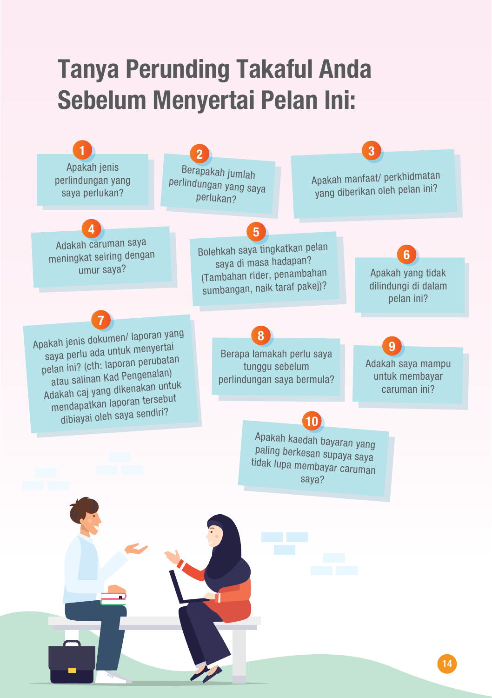## **Tanya Perunding Takaful Anda Sebelum Menyertai Pelan Ini:**

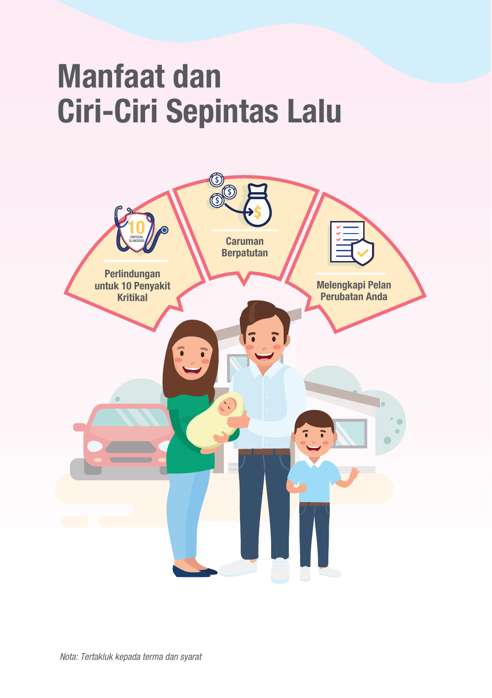# **Manfaat dan Ciri-Ciri Sepintas Lalu**

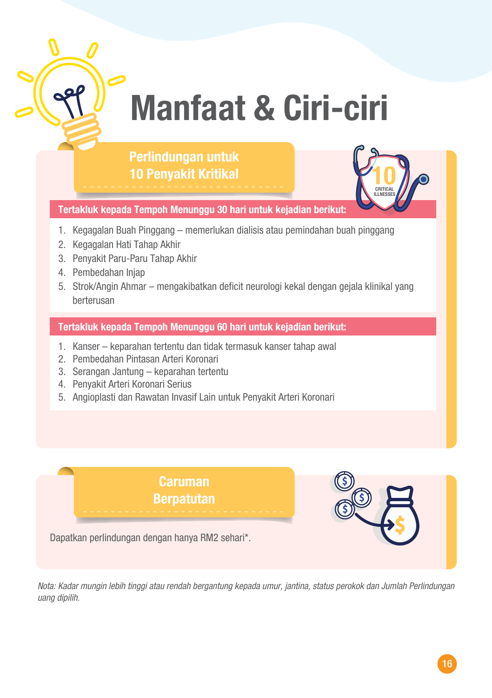

# **Manfaat & Ciri-ciri**

### **Perlindungan untuk 10 Penyakit Kritikal**



**Tertakluk kepada Tempoh Menunggu 30 hari untuk kejadian berikut:** 

- 1. Kegagalan Buah Pinggang memerlukan dialisis atau pemindahan buah pinggang
- 2. Kegagalan Hati Tahap Akhir
- 3. Penyakit Paru-Paru Tahap Akhir
- 4. Pembedahan Injap
- 5. Strok/Angin Ahmar mengakibatkan deficit neurologi kekal dengan gejala klinikal yang berterusan

**Tertakluk kepada Tempoh Menunggu 60 hari untuk kejadian berikut:** 

- 1. Kanser keparahan tertentu dan tidak termasuk kanser tahap awal
- 2. Pembedahan Pintasan Arteri Koronari
- 3. Serangan Jantung keparahan tertentu
- 4. Penyakit Arteri Koronari Serius
- 5. Angioplasti dan Rawatan Invasif Lain untuk Penyakit Arteri Koronari

### **Caruman Berpatutan**



Dapatkan perlindungan dengan hanya RM2 sehari\*.

*Nota: Kadar mungin lebih tinggi atau rendah bergantung kepada umur, jantina, status perokok dan Jumlah Perlindungan uang dipilih.*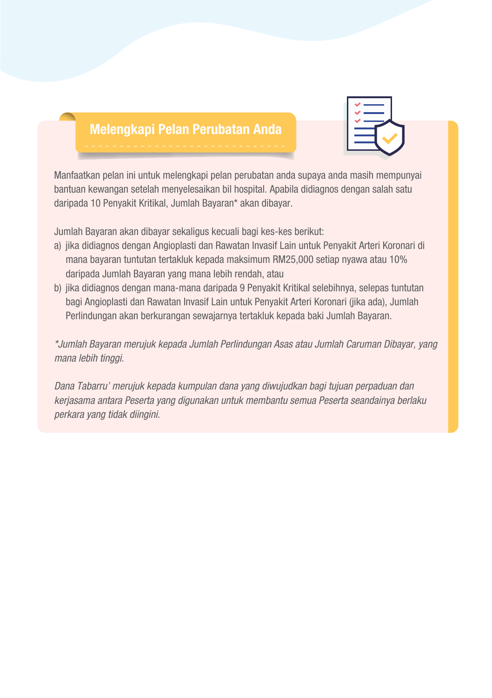### **Melengkapi Pelan Perubatan Anda**



Manfaatkan pelan ini untuk melengkapi pelan perubatan anda supaya anda masih mempunyai bantuan kewangan setelah menyelesaikan bil hospital. Apabila didiagnos dengan salah satu daripada 10 Penyakit Kritikal, Jumlah Bayaran\* akan dibayar.

Jumlah Bayaran akan dibayar sekaligus kecuali bagi kes-kes berikut:

- a) jika didiagnos dengan Angioplasti dan Rawatan Invasif Lain untuk Penyakit Arteri Koronari di mana bayaran tuntutan tertakluk kepada maksimum RM25,000 setiap nyawa atau 10% daripada Jumlah Bayaran yang mana lebih rendah, atau
- b) jika didiagnos dengan mana-mana daripada 9 Penyakit Kritikal selebihnya, selepas tuntutan bagi Angioplasti dan Rawatan Invasif Lain untuk Penyakit Arteri Koronari (jika ada), Jumlah Perlindungan akan berkurangan sewajarnya tertakluk kepada baki Jumlah Bayaran.

*\*Jumlah Bayaran merujuk kepada Jumlah Perlindungan Asas atau Jumlah Caruman Dibayar, yang mana lebih tinggi.*

*Dana Tabarru' merujuk kepada kumpulan dana yang diwujudkan bagi tujuan perpaduan dan kerjasama antara Peserta yang digunakan untuk membantu semua Peserta seandainya berlaku perkara yang tidak diingini.*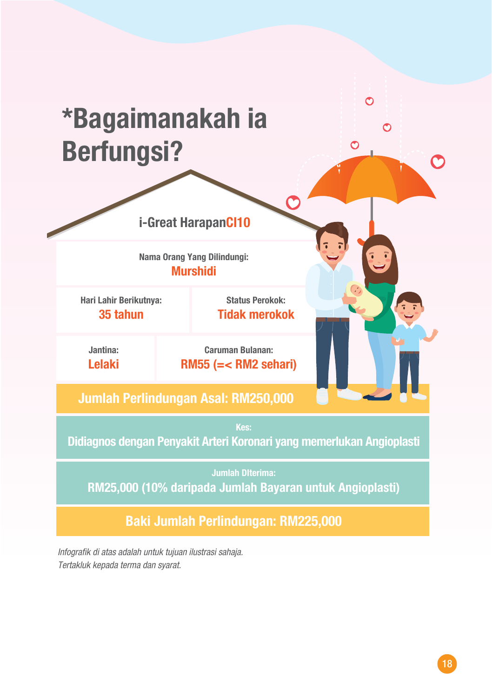## **\*Bagaimanakah ia Berfungsi?**

**i-Great HarapanCI10**

**Nama Orang Yang Dilindungi: Murshidi**

**Hari Lahir Berikutnya: 35 tahun**

**Status Perokok: Tidak merokok**  $\mathcal{O}$ 

**Jantina: Lelaki**

**Caruman Bulanan: RM55 (=< RM2 sehari)**

### **Jumlah Perlindungan Asal: RM250,000**

**Didiagnos dengan Penyakit Arteri Koronari yang memerlukan Angioplasti**

**Jumlah DIterima: RM25,000 (10% daripada Jumlah Bayaran untuk Angioplasti)**

**Baki Jumlah Perlindungan: RM225,000**

*Infografik di atas adalah untuk tujuan ilustrasi sahaja. Tertakluk kepada terma dan syarat.*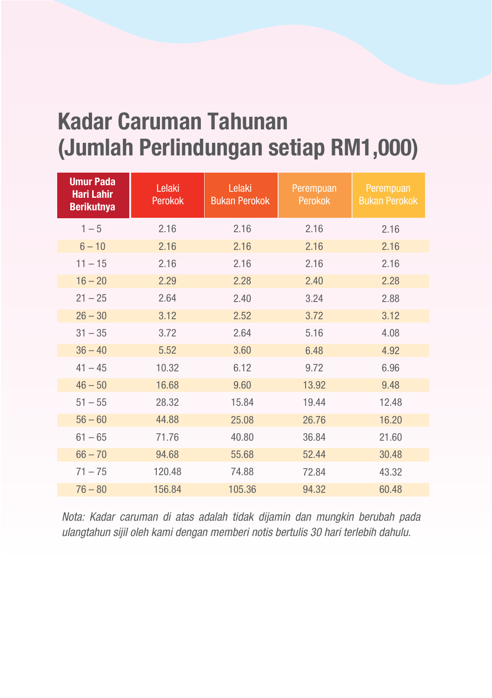## **Kadar Caruman Tahunan (Jumlah Perlindungan setiap RM1,000)**

| <b>Umur Pada</b><br><b>Hari Lahir</b><br><b>Berikutnya</b> | Lelaki<br><b>Perokok</b> | Lelaki<br><b>Bukan Perokok</b> | Perempuan<br><b>Perokok</b> | Perempuan<br><b>Bukan Perokok</b> |
|------------------------------------------------------------|--------------------------|--------------------------------|-----------------------------|-----------------------------------|
| $1 - 5$                                                    | 2.16                     | 2.16                           | 2.16                        | 2.16                              |
| $6 - 10$                                                   | 2.16                     | 2.16                           | 2.16                        | 2.16                              |
| $11 - 15$                                                  | 2.16                     | 2.16                           | 2.16                        | 2.16                              |
| $16 - 20$                                                  | 2.29                     | 2.28                           | 2.40                        | 2.28                              |
| $21 - 25$                                                  | 2.64                     | 2.40                           | 3.24                        | 2.88                              |
| $26 - 30$                                                  | 3.12                     | 2.52                           | 3.72                        | 3.12                              |
| $31 - 35$                                                  | 3.72                     | 2.64                           | 5.16                        | 4.08                              |
| $36 - 40$                                                  | 5.52                     | 3.60                           | 6.48                        | 4.92                              |
| $41 - 45$                                                  | 10.32                    | 6.12                           | 9.72                        | 6.96                              |
| $46 - 50$                                                  | 16.68                    | 9.60                           | 13.92                       | 9.48                              |
| $51 - 55$                                                  | 28.32                    | 15.84                          | 19.44                       | 12.48                             |
| $56 - 60$                                                  | 44.88                    | 25.08                          | 26.76                       | 16.20                             |
| $61 - 65$                                                  | 71.76                    | 40.80                          | 36.84                       | 21.60                             |
| $66 - 70$                                                  | 94.68                    | 55.68                          | 52.44                       | 30.48                             |
| $71 - 75$                                                  | 120.48                   | 74.88                          | 72.84                       | 43.32                             |
| $76 - 80$                                                  | 156.84                   | 105.36                         | 94.32                       | 60.48                             |

*Nota: Kadar caruman di atas adalah tidak dijamin dan mungkin berubah pada ulangtahun sijil oleh kami dengan memberi notis bertulis 30 hari terlebih dahulu.*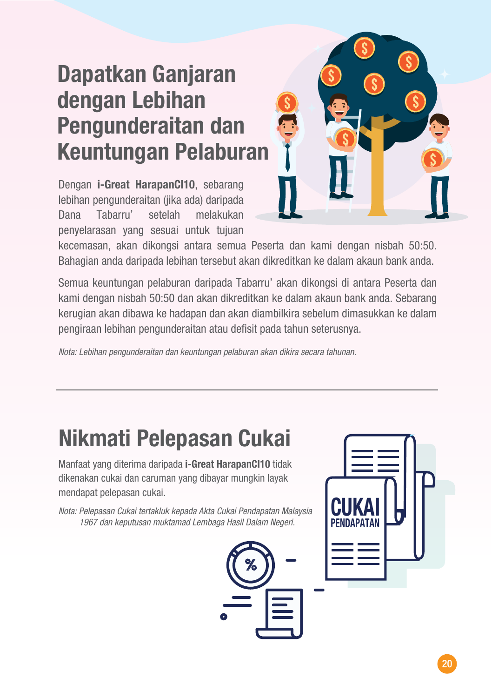## **Dapatkan Ganjaran dengan Lebihan Pengunderaitan dan Keuntungan Pelaburan**

Dengan **i-Great HarapanCI10**, sebarang lebihan pengunderaitan (jika ada) daripada Dana Tabarru' setelah melakukan penyelarasan yang sesuai untuk tujuan



kecemasan, akan dikongsi antara semua Peserta dan kami dengan nisbah 50:50. Bahagian anda daripada lebihan tersebut akan dikreditkan ke dalam akaun bank anda.

Semua keuntungan pelaburan daripada Tabarru' akan dikongsi di antara Peserta dan kami dengan nisbah 50:50 dan akan dikreditkan ke dalam akaun bank anda. Sebarang kerugian akan dibawa ke hadapan dan akan diambilkira sebelum dimasukkan ke dalam pengiraan lebihan pengunderaitan atau defisit pada tahun seterusnya.

*Nota: Lebihan pengunderaitan dan keuntungan pelaburan akan dikira secara tahunan.*

## **Nikmati Pelepasan Cukai**

Manfaat yang diterima daripada **i-Great HarapanCI10** tidak dikenakan cukai dan caruman yang dibayar mungkin layak mendapat pelepasan cukai.

*Nota: Pelepasan Cukai tertakluk kepada Akta Cukai Pendapatan Malaysia 1967 dan keputusan muktamad Lembaga Hasil Dalam Negeri.*



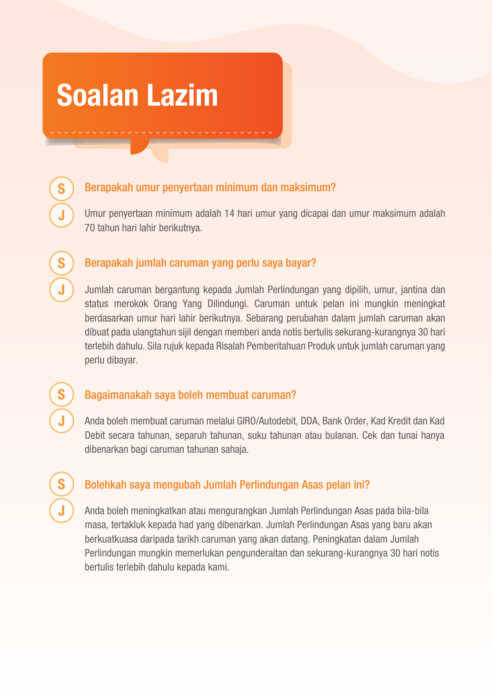## **Soalan Lazim**

**S**

**J**

**S**

**J**

**S**

**J**

**S**

**J**

### Berapakah umur penyertaan minimum dan maksimum?

Umur penyertaan minimum adalah 14 hari umur yang dicapai dan umur maksimum adalah 70 tahun hari lahir berikutnya.

### Berapakah jumlah caruman yang perlu saya bayar?

Jumlah caruman bergantung kepada Jumlah Perlindungan yang dipilih, umur, jantina dan status merokok Orang Yang Dilindungi. Caruman untuk pelan ini mungkin meningkat berdasarkan umur hari lahir berikutnya. Sebarang perubahan dalam jumlah caruman akan dibuat pada ulangtahun sijil dengan memberi anda notis bertulis sekurang-kurangnya 30 hari terlebih dahulu. Sila rujuk kepada Risalah Pemberitahuan Produk untuk jumlah caruman yang perlu dibayar.

#### Bagaimanakah saya boleh membuat caruman?

Anda boleh membuat caruman melalui GIRO/Autodebit, DDA, Bank Order, Kad Kredit dan Kad Debit secara tahunan, separuh tahunan, suku tahunan atau bulanan. Cek dan tunai hanya dibenarkan bagi caruman tahunan sahaja.

### Bolehkah saya mengubah Jumlah Perlindungan Asas pelan ini?

Anda boleh meningkatkan atau mengurangkan Jumlah Perlindungan Asas pada bila-bila masa, tertakluk kepada had yang dibenarkan. Jumlah Perlindungan Asas yang baru akan berkuatkuasa daripada tarikh caruman yang akan datang. Peningkatan dalam Jumlah Perlindungan mungkin memerlukan pengunderaitan dan sekurang-kurangnya 30 hari notis bertulis terlebih dahulu kepada kami.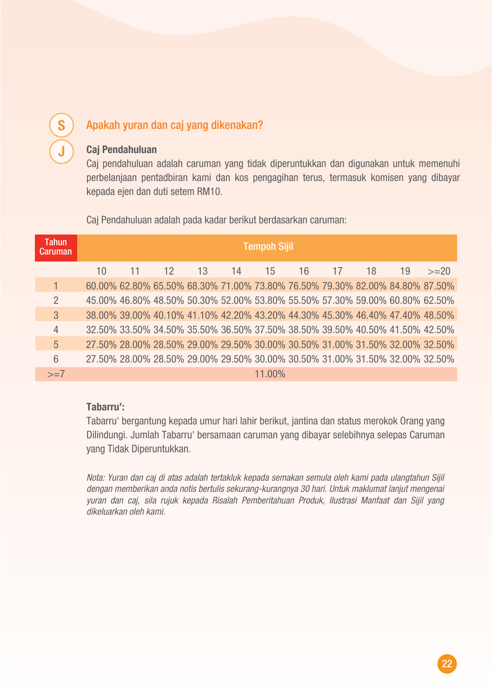### Apakah yuran dan caj yang dikenakan?

#### **Caj Pendahuluan**

**S**

**J**

Caj pendahuluan adalah caruman yang tidak diperuntukkan dan digunakan untuk memenuhi perbelanjaan pentadbiran kami dan kos pengagihan terus, termasuk komisen yang dibayar kepada ejen dan duti setem RM10.

Caj Pendahuluan adalah pada kadar berikut berdasarkan caruman:

| Tahun<br>'Caruman | <b>Tempoh Sijil</b> |    |    |    |    |        |    |    |    |                                                                              |                                                                              |
|-------------------|---------------------|----|----|----|----|--------|----|----|----|------------------------------------------------------------------------------|------------------------------------------------------------------------------|
|                   | $10^{\circ}$        | 11 | 12 | 13 | 14 | 15     | 16 | 17 | 18 | 19                                                                           | $>=20$                                                                       |
|                   |                     |    |    |    |    |        |    |    |    |                                                                              | 60,00% 62,80% 65,50% 68,30% 71,00% 73,80% 76,50% 79,30% 82,00% 84,80% 87,50% |
| $\mathcal{P}$     |                     |    |    |    |    |        |    |    |    | 45.00% 46.80% 48.50% 50.30% 52.00% 53.80% 55.50% 57.30% 59.00% 60.80% 62.50% |                                                                              |
| 3                 |                     |    |    |    |    |        |    |    |    | 38.00% 39.00% 40.10% 41.10% 42.20% 43.20% 44.30% 45.30% 46.40% 47.40% 48.50% |                                                                              |
| $\overline{4}$    |                     |    |    |    |    |        |    |    |    | 32.50% 33.50% 34.50% 35.50% 36.50% 37.50% 38.50% 39.50% 40.50% 41.50% 42.50% |                                                                              |
| $\overline{5}$    |                     |    |    |    |    |        |    |    |    | 27.50% 28.00% 28.50% 29.00% 29.50% 30.00% 30.50% 31.00% 31.50% 32.00% 32.50% |                                                                              |
| 6                 |                     |    |    |    |    |        |    |    |    |                                                                              | 27.50% 28.00% 28.50% 29.00% 29.50% 30.00% 30.50% 31.00% 31.50% 32.00% 32.50% |
| $>=7$             |                     |    |    |    |    | 11.00% |    |    |    |                                                                              |                                                                              |

#### **Tabarru':**

Tabarru' bergantung kepada umur hari lahir berikut, jantina dan status merokok Orang yang Dilindungi. Jumlah Tabarru' bersamaan caruman yang dibayar selebihnya selepas Caruman yang Tidak Diperuntukkan.

*Nota: Yuran dan caj di atas adalah tertakluk kepada semakan semula oleh kami pada ulangtahun Sijil dengan memberikan anda notis bertulis sekurang-kurangnya 30 hari. Untuk maklumat lanjut mengenai yuran dan caj, sila rujuk kepada Risalah Pemberitahuan Produk, Ilustrasi Manfaat dan Sijil yang dikeluarkan oleh kami.*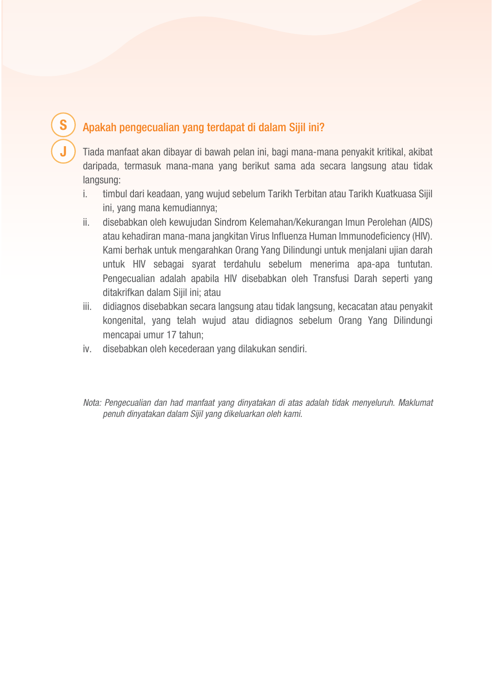### Apakah pengecualian yang terdapat di dalam Sijil ini?

**S**

**J**

Tiada manfaat akan dibayar di bawah pelan ini, bagi mana-mana penyakit kritikal, akibat daripada, termasuk mana-mana yang berikut sama ada secara langsung atau tidak langsung:

- i. timbul dari keadaan, yang wujud sebelum Tarikh Terbitan atau Tarikh Kuatkuasa Sijil ini, yang mana kemudiannya;
- ii. disebabkan oleh kewujudan Sindrom Kelemahan/Kekurangan Imun Perolehan (AIDS) atau kehadiran mana-mana jangkitan Virus Influenza Human Immunodeficiency (HIV). Kami berhak untuk mengarahkan Orang Yang Dilindungi untuk menjalani ujian darah untuk HIV sebagai syarat terdahulu sebelum menerima apa-apa tuntutan. Pengecualian adalah apabila HIV disebabkan oleh Transfusi Darah seperti yang ditakrifkan dalam Sijil ini; atau
- iii. didiagnos disebabkan secara langsung atau tidak langsung, kecacatan atau penyakit kongenital, yang telah wujud atau didiagnos sebelum Orang Yang Dilindungi mencapai umur 17 tahun;
- iv. disebabkan oleh kecederaan yang dilakukan sendiri.
- *Nota: Pengecualian dan had manfaat yang dinyatakan di atas adalah tidak menyeluruh. Maklumat penuh dinyatakan dalam Sijil yang dikeluarkan oleh kami.*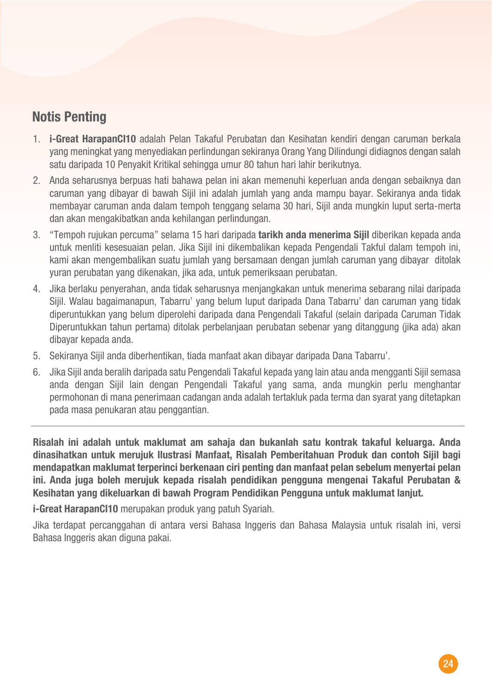### **Notis Penting**

- 1. **i-Great HarapanCI10** adalah Pelan Takaful Perubatan dan Kesihatan kendiri dengan caruman berkala yang meningkat yang menyediakan perlindungan sekiranya Orang Yang Dilindungi didiagnos dengan salah satu daripada 10 Penyakit Kritikal sehingga umur 80 tahun hari lahir berikutnya.
- 2. Anda seharusnya berpuas hati bahawa pelan ini akan memenuhi keperluan anda dengan sebaiknya dan caruman yang dibayar di bawah Sijil ini adalah jumlah yang anda mampu bayar. Sekiranya anda tidak membayar caruman anda dalam tempoh tenggang selama 30 hari, Sijil anda mungkin luput serta-merta dan akan mengakibatkan anda kehilangan perlindungan.
- 3. "Tempoh rujukan percuma" selama 15 hari daripada **tarikh anda menerima Sijil** diberikan kepada anda untuk menliti kesesuaian pelan. Jika Sijil ini dikembalikan kepada Pengendali Takful dalam tempoh ini, kami akan mengembalikan suatu jumlah yang bersamaan dengan jumlah caruman yang dibayar ditolak yuran perubatan yang dikenakan, jika ada, untuk pemeriksaan perubatan.
- 4. Jika berlaku penyerahan, anda tidak seharusnya menjangkakan untuk menerima sebarang nilai daripada Sijil. Walau bagaimanapun, Tabarru' yang belum luput daripada Dana Tabarru' dan caruman yang tidak diperuntukkan yang belum diperolehi daripada dana Pengendali Takaful (selain daripada Caruman Tidak Diperuntukkan tahun pertama) ditolak perbelanjaan perubatan sebenar yang ditanggung (jika ada) akan dibayar kepada anda.
- 5. Sekiranya Sijil anda diberhentikan, tiada manfaat akan dibayar daripada Dana Tabarru'.
- 6. Jika Sijil anda beralih daripada satu Pengendali Takaful kepada yang lain atau anda mengganti Sijil semasa anda dengan Sijil lain dengan Pengendali Takaful yang sama, anda mungkin perlu menghantar permohonan di mana penerimaan cadangan anda adalah tertakluk pada terma dan syarat yang ditetapkan pada masa penukaran atau penggantian.

**Risalah ini adalah untuk maklumat am sahaja dan bukanlah satu kontrak takaful keluarga. Anda dinasihatkan untuk merujuk Ilustrasi Manfaat, Risalah Pemberitahuan Produk dan contoh Sijil bagi mendapatkan maklumat terperinci berkenaan ciri penting dan manfaat pelan sebelum menyertai pelan ini. Anda juga boleh merujuk kepada risalah pendidikan pengguna mengenai Takaful Perubatan & Kesihatan yang dikeluarkan di bawah Program Pendidikan Pengguna untuk maklumat lanjut.**

**i-Great HarapanCI10** merupakan produk yang patuh Syariah.

Jika terdapat percanggahan di antara versi Bahasa Inggeris dan Bahasa Malaysia untuk risalah ini, versi Bahasa Inggeris akan diguna pakai.